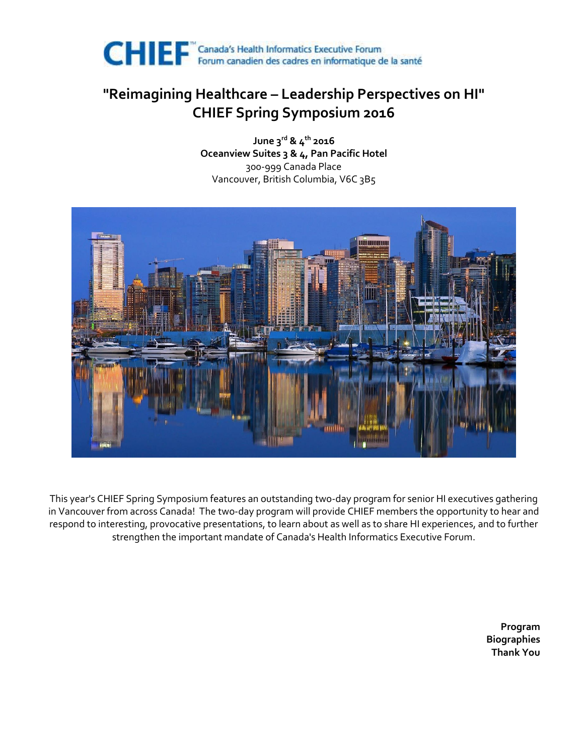

### **"Reimagining Healthcare – Leadership Perspectives on HI" CHIEF Spring Symposium 2016**

**June 3rd & 4th 2016 Oceanview Suites 3 & 4, Pan Pacific Hotel** 300-999 Canada Place Vancouver, British Columbia, V6C 3B5



This year's CHIEF Spring Symposium features an outstanding two-day program for senior HI executives gathering in Vancouver from across Canada! The two-day program will provide CHIEF members the opportunity to hear and respond to interesting, provocative presentations, to learn about as well as to share HI experiences, and to further strengthen the important mandate of Canada's Health Informatics Executive Forum.

> **Program Biographies Thank You**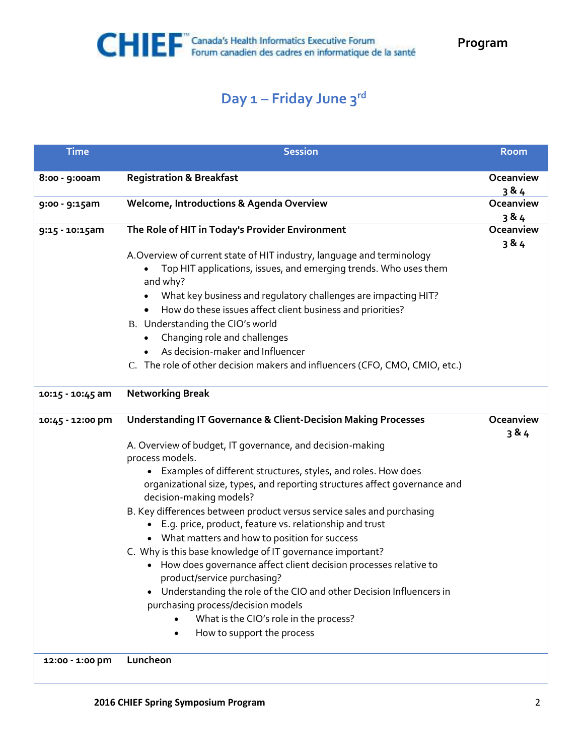## **Day 1 – Friday June 3rd**

| <b>Time</b>      | <b>Session</b>                                                                                        | <b>Room</b> |
|------------------|-------------------------------------------------------------------------------------------------------|-------------|
| 8:00 - 9:00am    | <b>Registration &amp; Breakfast</b>                                                                   | Oceanview   |
|                  |                                                                                                       | 3 & 4       |
| 9:00 - 9:15am    | Welcome, Introductions & Agenda Overview                                                              | Oceanview   |
|                  |                                                                                                       | 3 & 4       |
| 9:15 - 10:15am   | The Role of HIT in Today's Provider Environment                                                       | Oceanview   |
|                  |                                                                                                       | 3 & 4       |
|                  | A. Overview of current state of HIT industry, language and terminology                                |             |
|                  | Top HIT applications, issues, and emerging trends. Who uses them<br>and why?                          |             |
|                  | What key business and regulatory challenges are impacting HIT?                                        |             |
|                  | How do these issues affect client business and priorities?                                            |             |
|                  | B. Understanding the CIO's world                                                                      |             |
|                  | Changing role and challenges                                                                          |             |
|                  | As decision-maker and Influencer<br>$\bullet$                                                         |             |
|                  | C. The role of other decision makers and influencers (CFO, CMO, CMIO, etc.)                           |             |
| 10:15 - 10:45 am | <b>Networking Break</b>                                                                               |             |
|                  | <b>Understanding IT Governance &amp; Client-Decision Making Processes</b>                             | Oceanview   |
| 10:45 - 12:00 pm |                                                                                                       | 384         |
|                  | A. Overview of budget, IT governance, and decision-making                                             |             |
|                  | process models.                                                                                       |             |
|                  | Examples of different structures, styles, and roles. How does                                         |             |
|                  | organizational size, types, and reporting structures affect governance and<br>decision-making models? |             |
|                  | B. Key differences between product versus service sales and purchasing                                |             |
|                  | • E.g. price, product, feature vs. relationship and trust                                             |             |
|                  | • What matters and how to position for success                                                        |             |
|                  | C. Why is this base knowledge of IT governance important?                                             |             |
|                  | • How does governance affect client decision processes relative to                                    |             |
|                  | product/service purchasing?                                                                           |             |
|                  | Understanding the role of the CIO and other Decision Influencers in                                   |             |
|                  | purchasing process/decision models                                                                    |             |
|                  | What is the CIO's role in the process?                                                                |             |
|                  | How to support the process                                                                            |             |
| 12:00 - 1:00 pm  | Luncheon                                                                                              |             |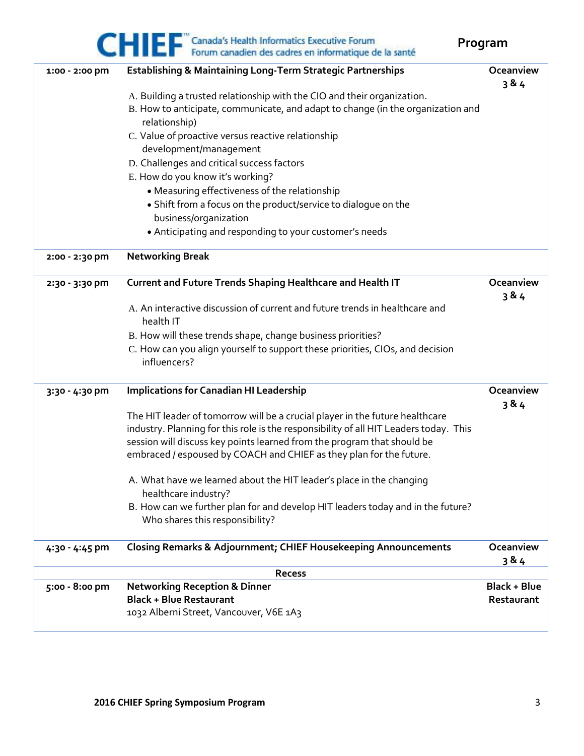# CHIEF "Canada's Health Informatics Executive Forum<br>Forum canadien des cadres en informatique de la santé

**Program**

| 1:00 - 2:00 pm | Establishing & Maintaining Long-Term Strategic Partnerships                           | Oceanview           |  |
|----------------|---------------------------------------------------------------------------------------|---------------------|--|
|                |                                                                                       | 384                 |  |
|                | A. Building a trusted relationship with the CIO and their organization.               |                     |  |
|                | B. How to anticipate, communicate, and adapt to change (in the organization and       |                     |  |
|                | relationship)                                                                         |                     |  |
|                | C. Value of proactive versus reactive relationship                                    |                     |  |
|                | development/management                                                                |                     |  |
|                | D. Challenges and critical success factors                                            |                     |  |
|                | E. How do you know it's working?                                                      |                     |  |
|                | • Measuring effectiveness of the relationship                                         |                     |  |
|                | • Shift from a focus on the product/service to dialogue on the                        |                     |  |
|                | business/organization                                                                 |                     |  |
|                | • Anticipating and responding to your customer's needs                                |                     |  |
| 2:00 - 2:30 pm | <b>Networking Break</b>                                                               |                     |  |
| 2:30 - 3:30 pm | Current and Future Trends Shaping Healthcare and Health IT                            | Oceanview           |  |
|                |                                                                                       | 384                 |  |
|                | A. An interactive discussion of current and future trends in healthcare and           |                     |  |
|                | health IT                                                                             |                     |  |
|                | B. How will these trends shape, change business priorities?                           |                     |  |
|                | C. How can you align yourself to support these priorities, CIOs, and decision         |                     |  |
|                | influencers?                                                                          |                     |  |
| 3:30 - 4:30 pm | <b>Implications for Canadian HI Leadership</b>                                        | Oceanview           |  |
|                |                                                                                       | 384                 |  |
|                | The HIT leader of tomorrow will be a crucial player in the future healthcare          |                     |  |
|                | industry. Planning for this role is the responsibility of all HIT Leaders today. This |                     |  |
|                | session will discuss key points learned from the program that should be               |                     |  |
|                | embraced / espoused by COACH and CHIEF as they plan for the future.                   |                     |  |
|                | A. What have we learned about the HIT leader's place in the changing                  |                     |  |
|                | healthcare industry?                                                                  |                     |  |
|                | B. How can we further plan for and develop HIT leaders today and in the future?       |                     |  |
|                | Who shares this responsibility?                                                       |                     |  |
|                |                                                                                       |                     |  |
| 4:30 - 4:45 pm | <b>Closing Remarks &amp; Adjournment; CHIEF Housekeeping Announcements</b>            | Oceanview           |  |
|                |                                                                                       | 3&4                 |  |
| <b>Recess</b>  |                                                                                       |                     |  |
| 5:00 - 8:00 pm | <b>Networking Reception &amp; Dinner</b>                                              | <b>Black + Blue</b> |  |
|                | <b>Black + Blue Restaurant</b>                                                        | Restaurant          |  |
|                | 1032 Alberni Street, Vancouver, V6E 1A3                                               |                     |  |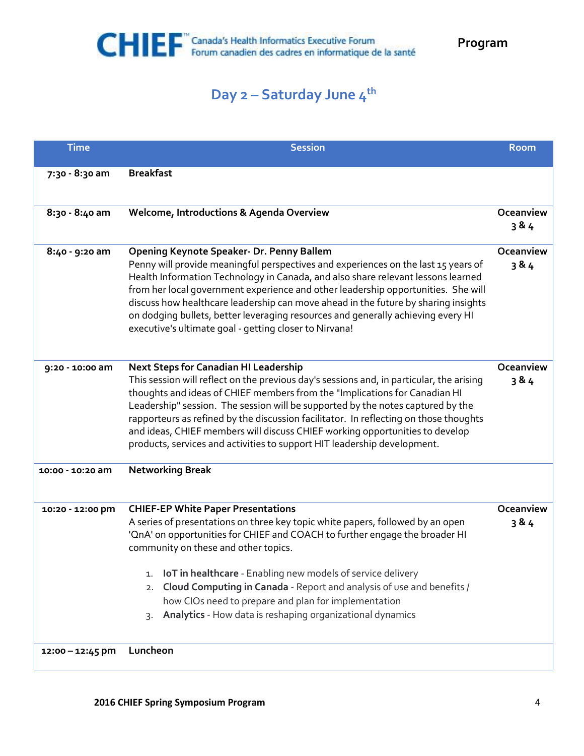## **Day 2 – Saturday June 4th**

| <b>Time</b>        | <b>Session</b>                                                                                                                                                                                                                                                                                                                                                                                                                                                                                                                                                 | <b>Room</b>        |
|--------------------|----------------------------------------------------------------------------------------------------------------------------------------------------------------------------------------------------------------------------------------------------------------------------------------------------------------------------------------------------------------------------------------------------------------------------------------------------------------------------------------------------------------------------------------------------------------|--------------------|
| 7:30 - 8:30 am     | <b>Breakfast</b>                                                                                                                                                                                                                                                                                                                                                                                                                                                                                                                                               |                    |
| 8:30 - 8:40 am     | Welcome, Introductions & Agenda Overview                                                                                                                                                                                                                                                                                                                                                                                                                                                                                                                       | Oceanview<br>384   |
| 8:40 - 9:20 am     | Opening Keynote Speaker- Dr. Penny Ballem<br>Penny will provide meaningful perspectives and experiences on the last 15 years of<br>Health Information Technology in Canada, and also share relevant lessons learned<br>from her local government experience and other leadership opportunities. She will<br>discuss how healthcare leadership can move ahead in the future by sharing insights<br>on dodging bullets, better leveraging resources and generally achieving every HI<br>executive's ultimate goal - getting closer to Nirvana!                   | Oceanview<br>3 & 4 |
| 9:20 - 10:00 am    | <b>Next Steps for Canadian HI Leadership</b><br>This session will reflect on the previous day's sessions and, in particular, the arising<br>thoughts and ideas of CHIEF members from the "Implications for Canadian HI<br>Leadership" session. The session will be supported by the notes captured by the<br>rapporteurs as refined by the discussion facilitator. In reflecting on those thoughts<br>and ideas, CHIEF members will discuss CHIEF working opportunities to develop<br>products, services and activities to support HIT leadership development. | Oceanview<br>3 & 4 |
| 10:00 - 10:20 am   | <b>Networking Break</b>                                                                                                                                                                                                                                                                                                                                                                                                                                                                                                                                        |                    |
| 10:20 - 12:00 pm   | <b>CHIEF-EP White Paper Presentations</b><br>A series of presentations on three key topic white papers, followed by an open<br>'OnA' on opportunities for CHIEF and COACH to further engage the broader HI<br>community on these and other topics.<br><b>IoT</b> in healthcare - Enabling new models of service delivery<br>1.<br>Cloud Computing in Canada - Report and analysis of use and benefits /<br>2.<br>how CIOs need to prepare and plan for implementation<br>Analytics - How data is reshaping organizational dynamics<br>3.                       | Oceanview<br>3 & 4 |
| $12:00 - 12:45$ pm | Luncheon                                                                                                                                                                                                                                                                                                                                                                                                                                                                                                                                                       |                    |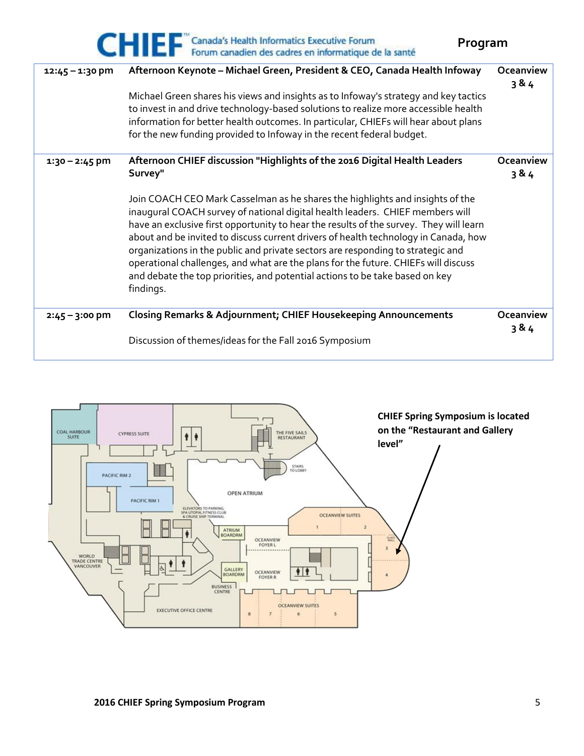|                   | CHIE F Canada's Health Informatics Executive Forum<br>Forum canadien des cadres en informatique de la santé                                                                                                                                                                                                                                                                                                                                                                                                                                                                                                           | Program          |  |
|-------------------|-----------------------------------------------------------------------------------------------------------------------------------------------------------------------------------------------------------------------------------------------------------------------------------------------------------------------------------------------------------------------------------------------------------------------------------------------------------------------------------------------------------------------------------------------------------------------------------------------------------------------|------------------|--|
| $12:45 - 1:30$ pm | Afternoon Keynote - Michael Green, President & CEO, Canada Health Infoway                                                                                                                                                                                                                                                                                                                                                                                                                                                                                                                                             | Oceanview<br>384 |  |
|                   | Michael Green shares his views and insights as to Infoway's strategy and key tactics                                                                                                                                                                                                                                                                                                                                                                                                                                                                                                                                  |                  |  |
|                   | to invest in and drive technology-based solutions to realize more accessible health                                                                                                                                                                                                                                                                                                                                                                                                                                                                                                                                   |                  |  |
|                   | information for better health outcomes. In particular, CHIEFs will hear about plans                                                                                                                                                                                                                                                                                                                                                                                                                                                                                                                                   |                  |  |
|                   | for the new funding provided to Infoway in the recent federal budget.                                                                                                                                                                                                                                                                                                                                                                                                                                                                                                                                                 |                  |  |
| $1:30 - 2:45$ pm  | Afternoon CHIEF discussion "Highlights of the 2016 Digital Health Leaders<br>Survey"                                                                                                                                                                                                                                                                                                                                                                                                                                                                                                                                  | Oceanview<br>384 |  |
|                   | Join COACH CEO Mark Casselman as he shares the highlights and insights of the<br>inaugural COACH survey of national digital health leaders. CHIEF members will<br>have an exclusive first opportunity to hear the results of the survey. They will learn<br>about and be invited to discuss current drivers of health technology in Canada, how<br>organizations in the public and private sectors are responding to strategic and<br>operational challenges, and what are the plans for the future. CHIEFs will discuss<br>and debate the top priorities, and potential actions to be take based on key<br>findings. |                  |  |
| $2:45 - 3:00$ pm  | <b>Closing Remarks &amp; Adjournment; CHIEF Housekeeping Announcements</b>                                                                                                                                                                                                                                                                                                                                                                                                                                                                                                                                            | Oceanview<br>384 |  |
|                   | Discussion of themes/ideas for the Fall 2016 Symposium                                                                                                                                                                                                                                                                                                                                                                                                                                                                                                                                                                |                  |  |

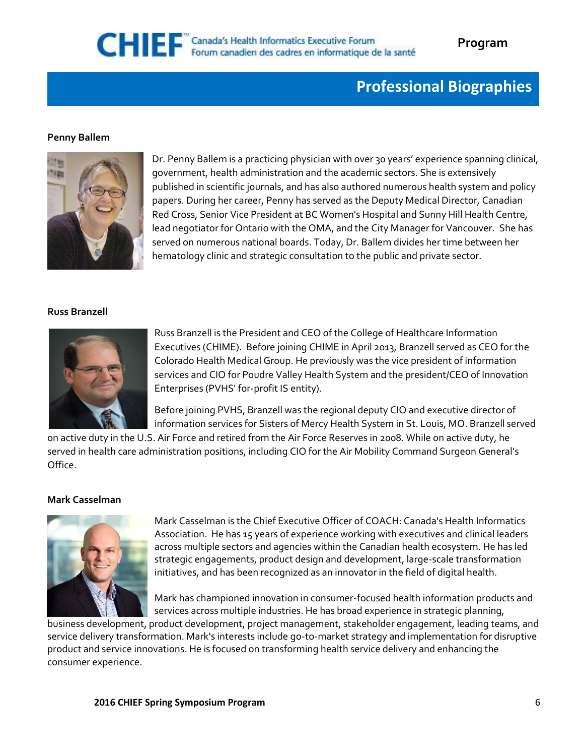## **Professional Biographies**

#### **Penny Ballem**



Dr. Penny Ballem is a practicing physician with over 30 years' experience spanning clinical, government, health administration and the academic sectors. She is extensively published in scientific journals, and has also authored numerous health system and policy papers. During her career, Penny has served as the Deputy Medical Director, Canadian Red Cross, Senior Vice President at BC Women's Hospital and Sunny Hill Health Centre, lead negotiator for Ontario with the OMA, and the City Manager for Vancouver. She has served on numerous national boards. Today, Dr. Ballem divides her time between her hematology clinic and strategic consultation to the public and private sector.

#### **Russ Branzell**



Russ Branzell is the President and CEO of the College of Healthcare Information Executives (CHIME). Before joining CHIME in April 2013, Branzell served as CEO for the Colorado Health Medical Group. He previously was the vice president of information services and CIO for Poudre Valley Health System and the president/CEO of Innovation Enterprises (PVHS' for-profit IS entity).

Before joining PVHS, Branzell was the regional deputy CIO and executive director of information services for Sisters of Mercy Health System in St. Louis, MO. Branzell served

on active duty in the U.S. Air Force and retired from the Air Force Reserves in 2008. While on active duty, he served in health care administration positions, including CIO for the Air Mobility Command Surgeon General's Office.

#### **Mark Casselman**



Mark Casselman is the Chief Executive Officer of COACH: Canada's Health Informatics Association. He has 15 years of experience working with executives and clinical leaders across multiple sectors and agencies within the Canadian health ecosystem. He has led strategic engagements, product design and development, large-scale transformation initiatives, and has been recognized as an innovator in the field of digital health.

Mark has championed innovation in consumer-focused health information products and services across multiple industries. He has broad experience in strategic planning,

business development, product development, project management, stakeholder engagement, leading teams, and service delivery transformation. Mark's interests include go-to-market strategy and implementation for disruptive product and service innovations. He is focused on transforming health service delivery and enhancing the consumer experience.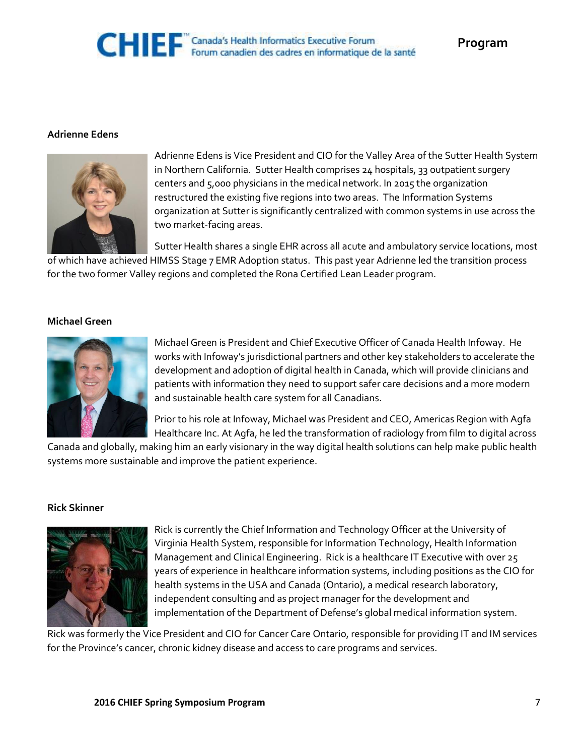## CHIEF "Canada's Health Informatics Executive Forum<br>Forum canadien des cadres en informatique de la santé

#### **Adrienne Edens**



Adrienne Edens is Vice President and CIO for the Valley Area of the Sutter Health System in Northern California. Sutter Health comprises 24 hospitals, 33 outpatient surgery centers and 5,000 physicians in the medical network. In 2015 the organization restructured the existing five regions into two areas. The Information Systems organization at Sutter is significantly centralized with common systems in use across the two market-facing areas.

Sutter Health shares a single EHR across all acute and ambulatory service locations, most of which have achieved HIMSS Stage 7 EMR Adoption status. This past year Adrienne led the transition process for the two former Valley regions and completed the Rona Certified Lean Leader program.

#### **Michael Green**



Michael Green is President and Chief Executive Officer of Canada Health Infoway. He works with Infoway's jurisdictional partners and other key stakeholders to accelerate the development and adoption of digital health in Canada, which will provide clinicians and patients with information they need to support safer care decisions and a more modern and sustainable health care system for all Canadians.

Prior to his role at Infoway, Michael was President and CEO, Americas Region with Agfa Healthcare Inc. At Agfa, he led the transformation of radiology from film to digital across

Canada and globally, making him an early visionary in the way digital health solutions can help make public health systems more sustainable and improve the patient experience.

#### **Rick Skinner**



Rick is currently the Chief Information and Technology Officer at the University of Virginia Health System, responsible for Information Technology, Health Information Management and Clinical Engineering. Rick is a healthcare IT Executive with over 25 years of experience in healthcare information systems, including positions as the CIO for health systems in the USA and Canada (Ontario), a medical research laboratory, independent consulting and as project manager for the development and implementation of the Department of Defense's global medical information system.

Rick was formerly the Vice President and CIO for Cancer Care Ontario, responsible for providing IT and IM services for the Province's cancer, chronic kidney disease and access to care programs and services.